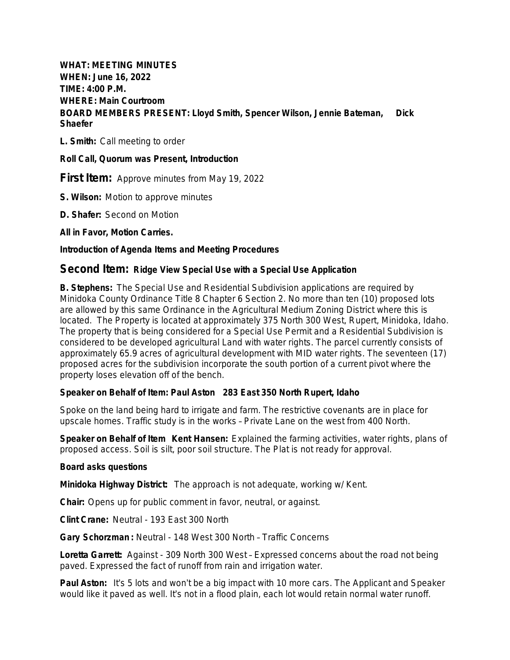**WHAT: MEETING MINUTES WHEN: June 16, 2022 TIME: 4:00 P.M. WHERE: Main Courtroom BOARD MEMBERS PRESENT: Lloyd Smith, Spencer Wilson, Jennie Bateman, Dick Shaefer**

**L. Smith:** Call meeting to order

**Roll Call, Quorum was Present, Introduction**

**First Item:** Approve minutes from May 19, 2022

**S. Wilson:** Motion to approve minutes

**D. Shafer:** Second on Motion

**All in Favor, Motion Carries.**

## **Introduction of Agenda Items and Meeting Procedures**

# **Second Item: Ridge View Special Use with a Special Use Application**

**B. Stephens:** The Special Use and Residential Subdivision applications are required by Minidoka County Ordinance Title 8 Chapter 6 Section 2. No more than ten (10) proposed lots are allowed by this same Ordinance in the Agricultural Medium Zoning District where this is located. The Property is located at approximately 375 North 300 West, Rupert, Minidoka, Idaho. The property that is being considered for a Special Use Permit and a Residential Subdivision is considered to be developed agricultural Land with water rights. The parcel currently consists of approximately 65.9 acres of agricultural development with MID water rights. The seventeen (17) proposed acres for the subdivision incorporate the south portion of a current pivot where the property loses elevation off of the bench.

### **Speaker on Behalf of Item: Paul Aston 283 East 350 North Rupert, Idaho**

Spoke on the land being hard to irrigate and farm. The restrictive covenants are in place for upscale homes. Traffic study is in the works – Private Lane on the west from 400 North.

**Speaker on Behalf of Item Kent Hansen:** Explained the farming activities, water rights, plans of proposed access. Soil is silt, poor soil structure. The Plat is not ready for approval.

### **Board asks questions**

**Minidoka Highway District:** The approach is not adequate, working w/ Kent.

**Chair:** Opens up for public comment in favor, neutral, or against.

**Clint Crane:** Neutral - 193 East 300 North

**Gary Schorzman :** Neutral - 148 West 300 North – Traffic Concerns

**Loretta Garrett:** Against - 309 North 300 West – Expressed concerns about the road not being paved. Expressed the fact of runoff from rain and irrigation water.

**Paul Aston:** It's 5 lots and won't be a big impact with 10 more cars. The Applicant and Speaker would like it paved as well. It's not in a flood plain, each lot would retain normal water runoff.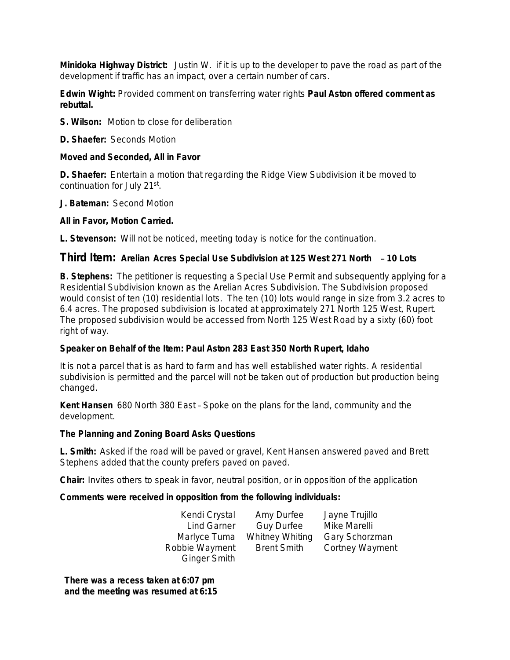**Minidoka Highway District:** Justin W. if it is up to the developer to pave the road as part of the development if traffic has an impact, over a certain number of cars.

**Edwin Wight:** Provided comment on transferring water rights **Paul Aston offered comment as rebuttal.** 

**S. Wilson:** Motion to close for deliberation

**D. Shaefer:** Seconds Motion

## **Moved and Seconded, All in Favor**

**D. Shaefer:** Entertain a motion that regarding the Ridge View Subdivision it be moved to continuation for July 21st.

**J. Bateman:** Second Motion

## **All in Favor, Motion Carried.**

**L. Stevenson:** Will not be noticed, meeting today is notice for the continuation.

# **Third Item: Arelian Acres Special Use Subdivision at 125 West 271 North** – **10 Lots**

**B. Stephens:** The petitioner is requesting a Special Use Permit and subsequently applying for a Residential Subdivision known as the Arelian Acres Subdivision. The Subdivision proposed would consist of ten (10) residential lots. The ten (10) lots would range in size from 3.2 acres to 6.4 acres. The proposed subdivision is located at approximately 271 North 125 West, Rupert. The proposed subdivision would be accessed from North 125 West Road by a sixty (60) foot right of way.

# **Speaker on Behalf of the Item: Paul Aston 283 East 350 North Rupert, Idaho**

It is not a parcel that is as hard to farm and has well established water rights. A residential subdivision is permitted and the parcel will not be taken out of production but production being changed.

**Kent Hansen** 680 North 380 East – Spoke on the plans for the land, community and the development.

### **The Planning and Zoning Board Asks Questions**

**L. Smith:** Asked if the road will be paved or gravel, Kent Hansen answered paved and Brett Stephens added that the county prefers paved on paved.

**Chair:** Invites others to speak in favor, neutral position, or in opposition of the application

### **Comments were received in opposition from the following individuals:**

| Kendi Crystal       | Amy Durfee             | Jayne Trujillo         |
|---------------------|------------------------|------------------------|
| <b>Lind Garner</b>  | <b>Guy Durfee</b>      | Mike Marelli           |
| Marlyce Tuma        | <b>Whitney Whiting</b> | Gary Schorzman         |
| Robbie Wayment      | <b>Brent Smith</b>     | <b>Cortney Wayment</b> |
| <b>Ginger Smith</b> |                        |                        |

**There was a recess taken at 6:07 pm and the meeting was resumed at 6:15**